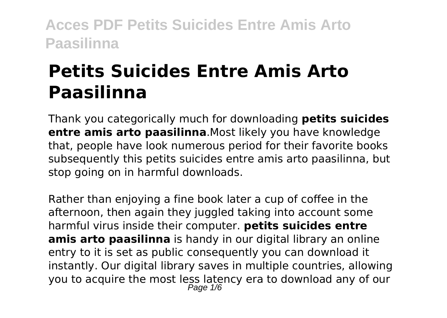# **Petits Suicides Entre Amis Arto Paasilinna**

Thank you categorically much for downloading **petits suicides entre amis arto paasilinna**.Most likely you have knowledge that, people have look numerous period for their favorite books subsequently this petits suicides entre amis arto paasilinna, but stop going on in harmful downloads.

Rather than enjoying a fine book later a cup of coffee in the afternoon, then again they juggled taking into account some harmful virus inside their computer. **petits suicides entre amis arto paasilinna** is handy in our digital library an online entry to it is set as public consequently you can download it instantly. Our digital library saves in multiple countries, allowing you to acquire the most less latency era to download any of our Page 1/6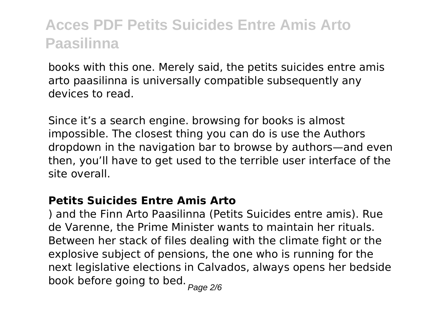books with this one. Merely said, the petits suicides entre amis arto paasilinna is universally compatible subsequently any devices to read.

Since it's a search engine. browsing for books is almost impossible. The closest thing you can do is use the Authors dropdown in the navigation bar to browse by authors—and even then, you'll have to get used to the terrible user interface of the site overall.

#### **Petits Suicides Entre Amis Arto**

) and the Finn Arto Paasilinna (Petits Suicides entre amis). Rue de Varenne, the Prime Minister wants to maintain her rituals. Between her stack of files dealing with the climate fight or the explosive subject of pensions, the one who is running for the next legislative elections in Calvados, always opens her bedside book before going to bed.  $_{Page\ 2/6}$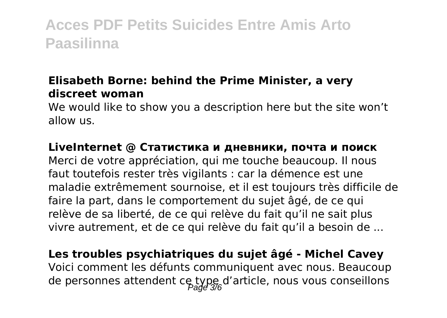#### **Elisabeth Borne: behind the Prime Minister, a very discreet woman**

We would like to show you a description here but the site won't allow us.

#### **LiveInternet @ Статистика и дневники, почта и поиск**

Merci de votre appréciation, qui me touche beaucoup. Il nous faut toutefois rester très vigilants : car la démence est une maladie extrêmement sournoise, et il est toujours très difficile de faire la part, dans le comportement du sujet âgé, de ce qui relève de sa liberté, de ce qui relève du fait qu'il ne sait plus vivre autrement, et de ce qui relève du fait qu'il a besoin de ...

### **Les troubles psychiatriques du sujet âgé - Michel Cavey** Voici comment les défunts communiquent avec nous. Beaucoup de personnes attendent ce type d'article, nous vous conseillons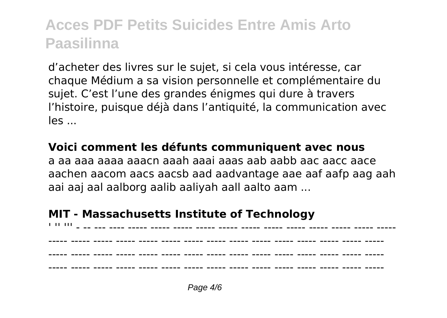d'acheter des livres sur le sujet, si cela vous intéresse, car chaque Médium a sa vision personnelle et complémentaire du sujet. C'est l'une des grandes énigmes qui dure à travers l'histoire, puisque déjà dans l'antiquité, la communication avec  $I =$ 

#### **Voici comment les défunts communiquent avec nous**

a aa aaa aaaa aaacn aaah aaai aaas aab aabb aac aacc aace aachen aacom aacs aacsb aad aadvantage aae aaf aafp aag aah aai aaj aal aalborg aalib aaliyah aall aalto aam ...

#### **MIT - Massachusetts Institute of Technology**

'' -- ---- ---- ---- ---- ---- **---- ---- ----- ----- ----- -----** ----- ---- -------- ----- ----- ----- ----- ----- ----- ----- ----- ----- ----- ----- ----- ----- ----- ----- ----- ----- ----- ----- ----- ----- ----- ----- ----- ----- ----- ----- ----- ----- ----- ----- ----- ----- ----- ----- ----- ----- ----- ----- ----- ----- ----- ----- -----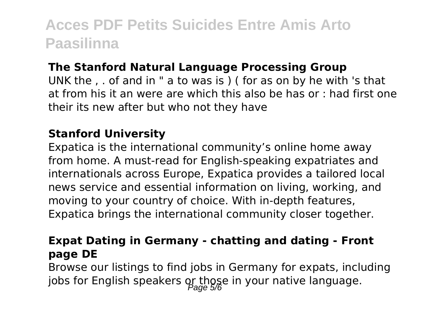#### **The Stanford Natural Language Processing Group**

UNK the , . of and in " a to was is ) ( for as on by he with 's that at from his it an were are which this also be has or : had first one their its new after but who not they have

#### **Stanford University**

Expatica is the international community's online home away from home. A must-read for English-speaking expatriates and internationals across Europe, Expatica provides a tailored local news service and essential information on living, working, and moving to your country of choice. With in-depth features, Expatica brings the international community closer together.

#### **Expat Dating in Germany - chatting and dating - Front page DE**

Browse our listings to find jobs in Germany for expats, including jobs for English speakers or those in your native language.